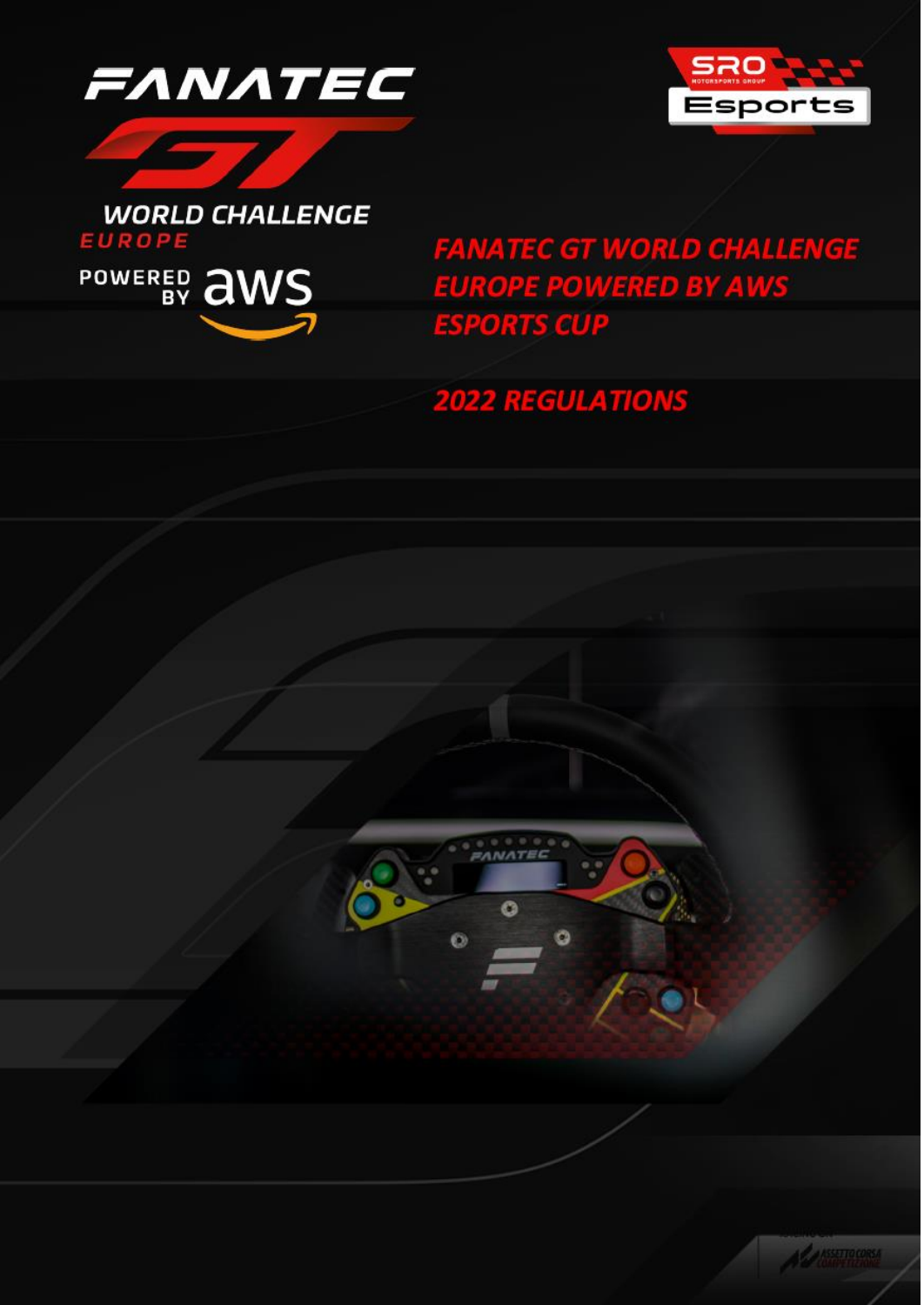





**FANATEC GT WORLD CHALLENGE EUROPE POWERED BY AWS ESPORTS CUP** 

# **2022 REGULATIONS**



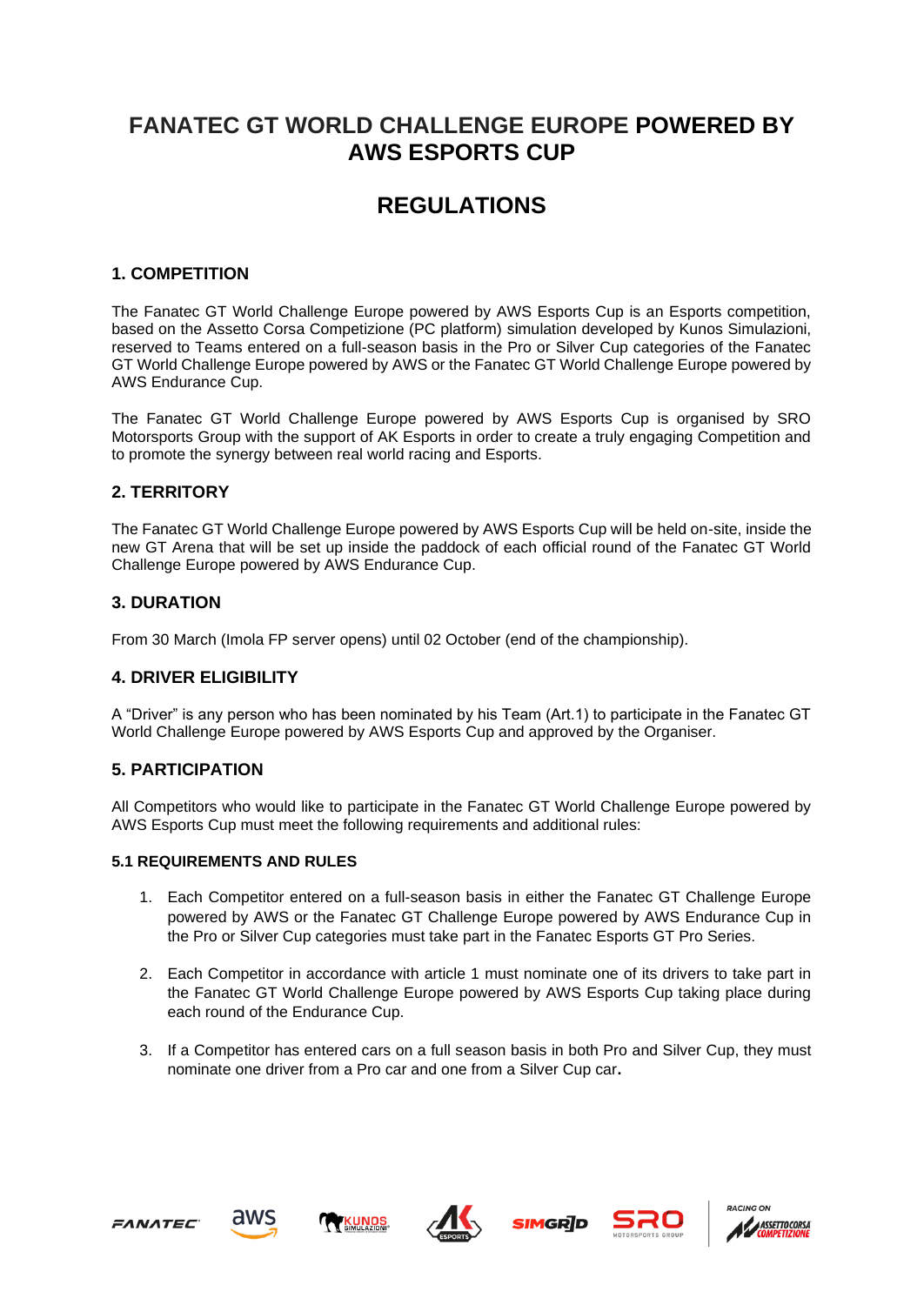# **FANATEC GT WORLD CHALLENGE EUROPE POWERED BY AWS ESPORTS CUP**

# **REGULATIONS**

# **1. COMPETITION**

The Fanatec GT World Challenge Europe powered by AWS Esports Cup is an Esports competition, based on the Assetto Corsa Competizione (PC platform) simulation developed by Kunos Simulazioni, reserved to Teams entered on a full-season basis in the Pro or Silver Cup categories of the Fanatec GT World Challenge Europe powered by AWS or the Fanatec GT World Challenge Europe powered by AWS Endurance Cup.

The Fanatec GT World Challenge Europe powered by AWS Esports Cup is organised by SRO Motorsports Group with the support of AK Esports in order to create a truly engaging Competition and to promote the synergy between real world racing and Esports.

# **2. TERRITORY**

The Fanatec GT World Challenge Europe powered by AWS Esports Cup will be held on-site, inside the new GT Arena that will be set up inside the paddock of each official round of the Fanatec GT World Challenge Europe powered by AWS Endurance Cup.

### **3. DURATION**

From 30 March (Imola FP server opens) until 02 October (end of the championship).

# **4. DRIVER ELIGIBILITY**

A "Driver" is any person who has been nominated by his Team (Art.1) to participate in the Fanatec GT World Challenge Europe powered by AWS Esports Cup and approved by the Organiser.

# **5. PARTICIPATION**

All Competitors who would like to participate in the Fanatec GT World Challenge Europe powered by AWS Esports Cup must meet the following requirements and additional rules:

#### **5.1 REQUIREMENTS AND RULES**

- 1. Each Competitor entered on a full-season basis in either the Fanatec GT Challenge Europe powered by AWS or the Fanatec GT Challenge Europe powered by AWS Endurance Cup in the Pro or Silver Cup categories must take part in the Fanatec Esports GT Pro Series.
- 2. Each Competitor in accordance with article 1 must nominate one of its drivers to take part in the Fanatec GT World Challenge Europe powered by AWS Esports Cup taking place during each round of the Endurance Cup.
- 3. If a Competitor has entered cars on a full season basis in both Pro and Silver Cup, they must nominate one driver from a Pro car and one from a Silver Cup car**.**









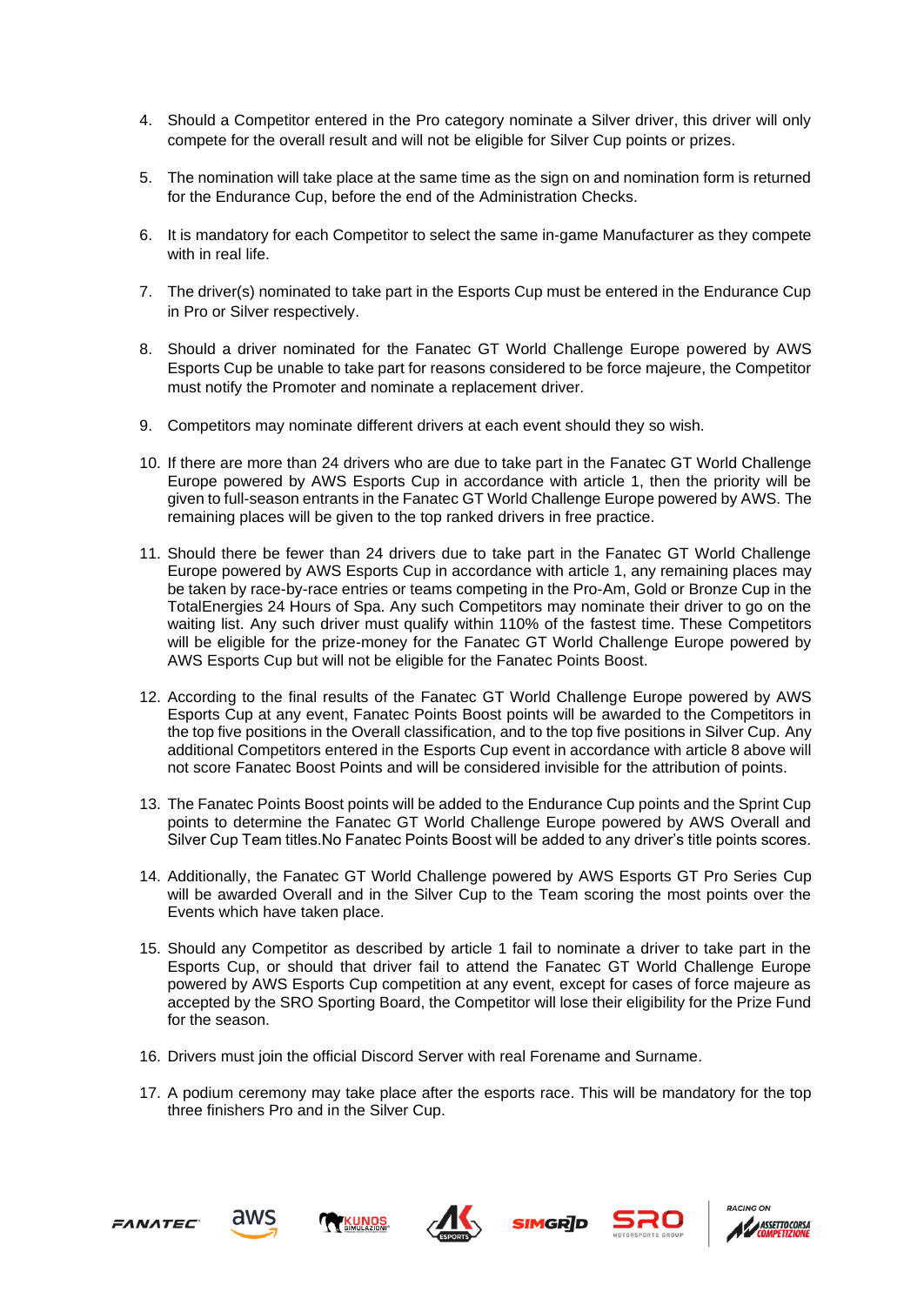- 4. Should a Competitor entered in the Pro category nominate a Silver driver, this driver will only compete for the overall result and will not be eligible for Silver Cup points or prizes.
- 5. The nomination will take place at the same time as the sign on and nomination form is returned for the Endurance Cup, before the end of the Administration Checks.
- 6. It is mandatory for each Competitor to select the same in-game Manufacturer as they compete with in real life
- 7. The driver(s) nominated to take part in the Esports Cup must be entered in the Endurance Cup in Pro or Silver respectively.
- 8. Should a driver nominated for the Fanatec GT World Challenge Europe powered by AWS Esports Cup be unable to take part for reasons considered to be force majeure, the Competitor must notify the Promoter and nominate a replacement driver.
- 9. Competitors may nominate different drivers at each event should they so wish.
- 10. If there are more than 24 drivers who are due to take part in the Fanatec GT World Challenge Europe powered by AWS Esports Cup in accordance with article 1, then the priority will be given to full-season entrants in the Fanatec GT World Challenge Europe powered by AWS. The remaining places will be given to the top ranked drivers in free practice.
- 11. Should there be fewer than 24 drivers due to take part in the Fanatec GT World Challenge Europe powered by AWS Esports Cup in accordance with article 1, any remaining places may be taken by race-by-race entries or teams competing in the Pro-Am, Gold or Bronze Cup in the TotalEnergies 24 Hours of Spa. Any such Competitors may nominate their driver to go on the waiting list. Any such driver must qualify within 110% of the fastest time. These Competitors will be eligible for the prize-money for the Fanatec GT World Challenge Europe powered by AWS Esports Cup but will not be eligible for the Fanatec Points Boost.
- 12. According to the final results of the Fanatec GT World Challenge Europe powered by AWS Esports Cup at any event, Fanatec Points Boost points will be awarded to the Competitors in the top five positions in the Overall classification, and to the top five positions in Silver Cup. Any additional Competitors entered in the Esports Cup event in accordance with article 8 above will not score Fanatec Boost Points and will be considered invisible for the attribution of points.
- 13. The Fanatec Points Boost points will be added to the Endurance Cup points and the Sprint Cup points to determine the Fanatec GT World Challenge Europe powered by AWS Overall and Silver Cup Team titles.No Fanatec Points Boost will be added to any driver's title points scores.
- 14. Additionally, the Fanatec GT World Challenge powered by AWS Esports GT Pro Series Cup will be awarded Overall and in the Silver Cup to the Team scoring the most points over the Events which have taken place.
- 15. Should any Competitor as described by article 1 fail to nominate a driver to take part in the Esports Cup, or should that driver fail to attend the Fanatec GT World Challenge Europe powered by AWS Esports Cup competition at any event, except for cases of force majeure as accepted by the SRO Sporting Board, the Competitor will lose their eligibility for the Prize Fund for the season.
- 16. Drivers must join the official Discord Server with real Forename and Surname.
- 17. A podium ceremony may take place after the esports race. This will be mandatory for the top three finishers Pro and in the Silver Cup.









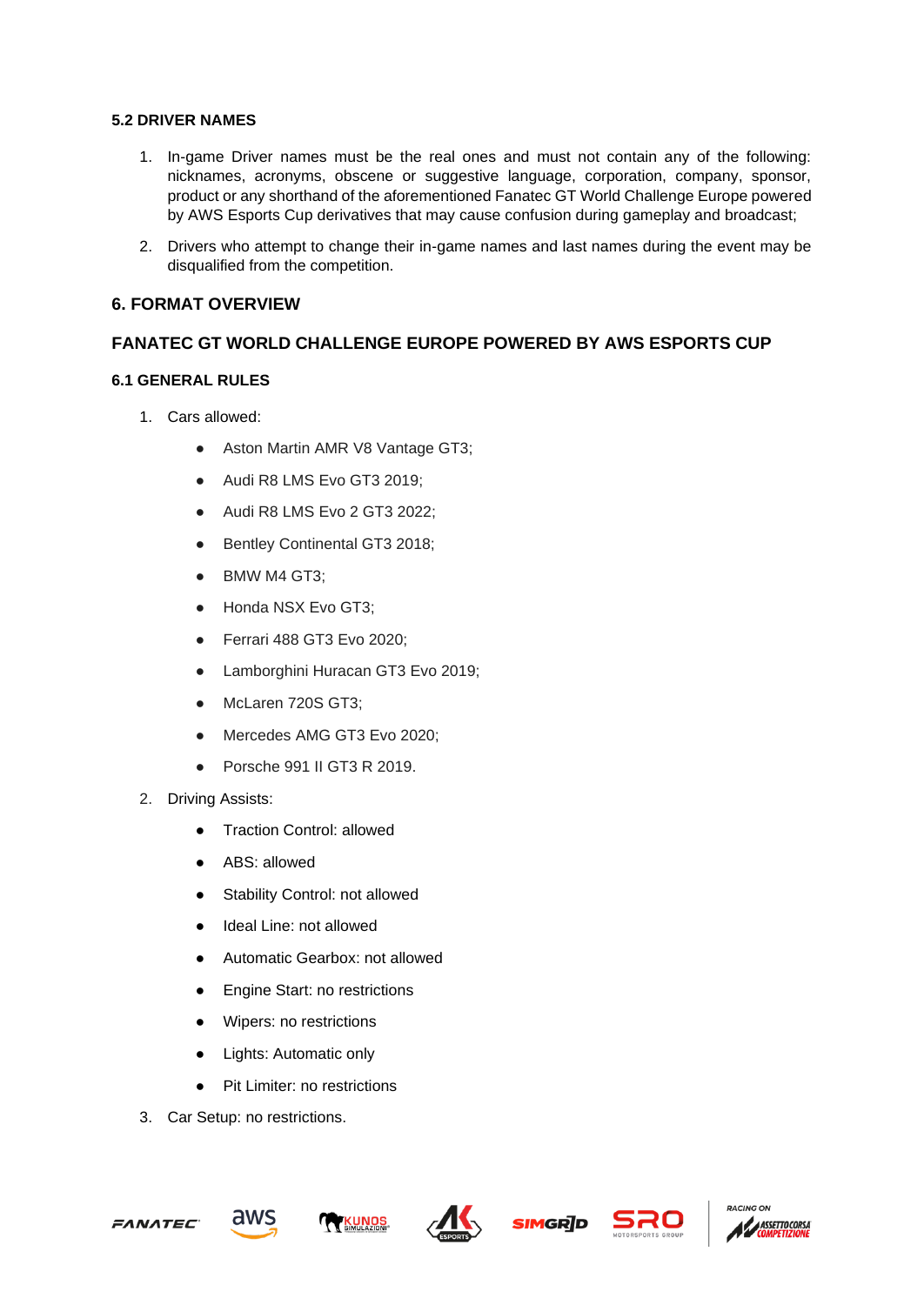#### **5.2 DRIVER NAMES**

- 1. In-game Driver names must be the real ones and must not contain any of the following: nicknames, acronyms, obscene or suggestive language, corporation, company, sponsor, product or any shorthand of the aforementioned Fanatec GT World Challenge Europe powered by AWS Esports Cup derivatives that may cause confusion during gameplay and broadcast;
- 2. Drivers who attempt to change their in-game names and last names during the event may be disqualified from the competition.

# **6. FORMAT OVERVIEW**

# **FANATEC GT WORLD CHALLENGE EUROPE POWERED BY AWS ESPORTS CUP**

### **6.1 GENERAL RULES**

- 1. Cars allowed:
	- Aston Martin AMR V8 Vantage GT3;
	- Audi R8 LMS Evo GT3 2019;
	- Audi R8 LMS Evo 2 GT3 2022;
	- Bentley Continental GT3 2018;
	- BMW M4 GT3:
	- Honda NSX Evo GT3:
	- Ferrari 488 GT3 Evo 2020;
	- Lamborghini Huracan GT3 Evo 2019;
	- McLaren 720S GT3;
	- Mercedes AMG GT3 Evo 2020;
	- Porsche 991 II GT3 R 2019.
- 2. Driving Assists:
	- Traction Control: allowed
	- ABS: allowed
	- Stability Control: not allowed
	- Ideal Line: not allowed
	- Automatic Gearbox: not allowed
	- Engine Start: no restrictions
	- Wipers: no restrictions
	- Lights: Automatic only
	- Pit Limiter: no restrictions
- 3. Car Setup: no restrictions.









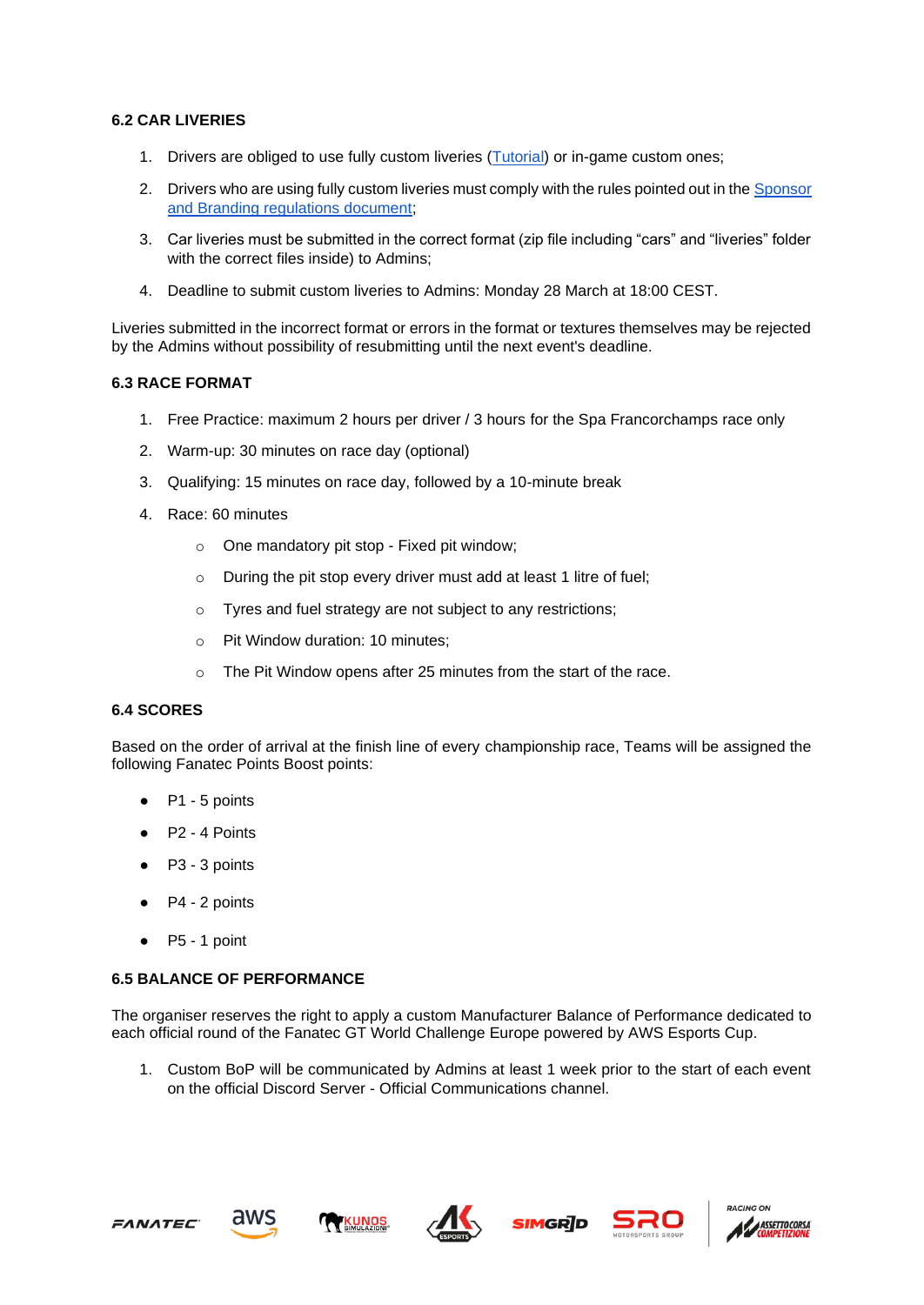#### **6.2 CAR LIVERIES**

- 1. Drivers are obliged to use fully custom liveries [\(Tutorial\)](https://docs.google.com/document/d/1X9PI1k6lX6Em0w8RV3Qnbjh8u01M2I9nfTXjvZxSqnw/edit) or in-game custom ones;
- 2. Drivers who are using fully custom liveries must comply with the rules pointed out in the [Sponsor](https://drive.google.com/file/d/18kuUKiGxpgnL-OdObsce1UDopTCK5fzl/view)  [and Branding regulations document;](https://drive.google.com/file/d/18kuUKiGxpgnL-OdObsce1UDopTCK5fzl/view)
- 3. Car liveries must be submitted in the correct format (zip file including "cars" and "liveries" folder with the correct files inside) to Admins;
- 4. Deadline to submit custom liveries to Admins: Monday 28 March at 18:00 CEST.

Liveries submitted in the incorrect format or errors in the format or textures themselves may be rejected by the Admins without possibility of resubmitting until the next event's deadline.

#### **6.3 RACE FORMAT**

- 1. Free Practice: maximum 2 hours per driver / 3 hours for the Spa Francorchamps race only
- 2. Warm-up: 30 minutes on race day (optional)
- 3. Qualifying: 15 minutes on race day, followed by a 10-minute break
- 4. Race: 60 minutes
	- o One mandatory pit stop Fixed pit window;
	- o During the pit stop every driver must add at least 1 litre of fuel;
	- o Tyres and fuel strategy are not subject to any restrictions;
	- o Pit Window duration: 10 minutes;
	- o The Pit Window opens after 25 minutes from the start of the race.

#### **6.4 SCORES**

Based on the order of arrival at the finish line of every championship race, Teams will be assigned the following Fanatec Points Boost points:

- P1 5 points
- P2 4 Points
- P3 3 points
- P4 2 points
- $\bullet$  P5 1 point

#### **6.5 BALANCE OF PERFORMANCE**

The organiser reserves the right to apply a custom Manufacturer Balance of Performance dedicated to each official round of the Fanatec GT World Challenge Europe powered by AWS Esports Cup.

1. Custom BoP will be communicated by Admins at least 1 week prior to the start of each event on the official Discord Server - Official Communications channel.









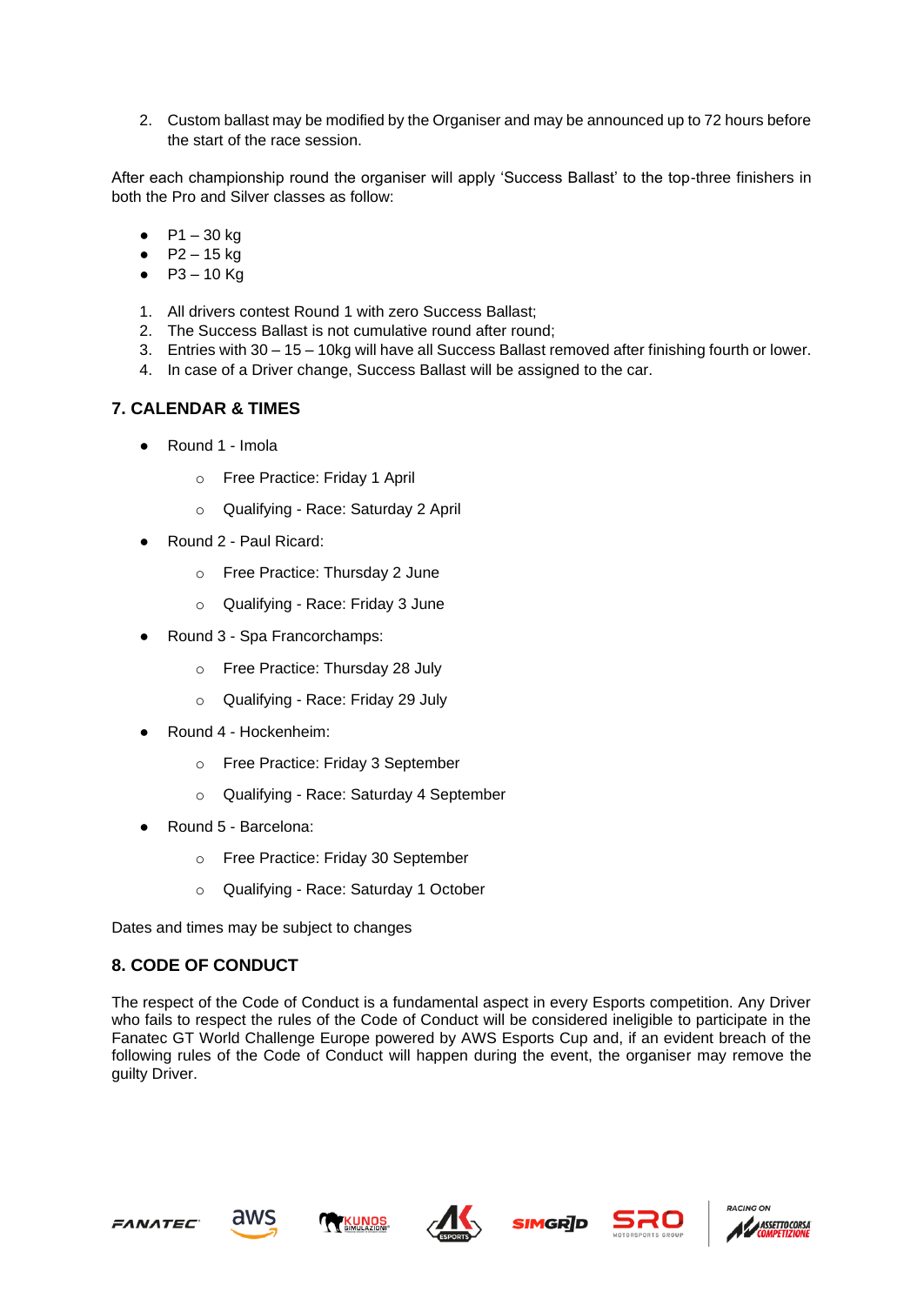2. Custom ballast may be modified by the Organiser and may be announced up to 72 hours before the start of the race session.

After each championship round the organiser will apply 'Success Ballast' to the top-three finishers in both the Pro and Silver classes as follow:

- $P1 30$  kg
- $P2 15 kg$
- $P3 10$  Kg
- 1. All drivers contest Round 1 with zero Success Ballast;
- 2. The Success Ballast is not cumulative round after round;
- 3. Entries with 30 15 10kg will have all Success Ballast removed after finishing fourth or lower.
- 4. In case of a Driver change, Success Ballast will be assigned to the car.

#### **7. CALENDAR & TIMES**

- Round 1 Imola
	- o Free Practice: Friday 1 April
	- o Qualifying Race: Saturday 2 April
- Round 2 Paul Ricard:
	- o Free Practice: Thursday 2 June
	- o Qualifying Race: Friday 3 June
- Round 3 Spa Francorchamps:
	- o Free Practice: Thursday 28 July
	- o Qualifying Race: Friday 29 July
- Round 4 Hockenheim:
	- o Free Practice: Friday 3 September
	- o Qualifying Race: Saturday 4 September
- Round 5 Barcelona:
	- o Free Practice: Friday 30 September
	- o Qualifying Race: Saturday 1 October

Dates and times may be subject to changes

#### **8. CODE OF CONDUCT**

The respect of the Code of Conduct is a fundamental aspect in every Esports competition. Any Driver who fails to respect the rules of the Code of Conduct will be considered ineligible to participate in the Fanatec GT World Challenge Europe powered by AWS Esports Cup and, if an evident breach of the following rules of the Code of Conduct will happen during the event, the organiser may remove the guilty Driver.











ASSETTO CORSA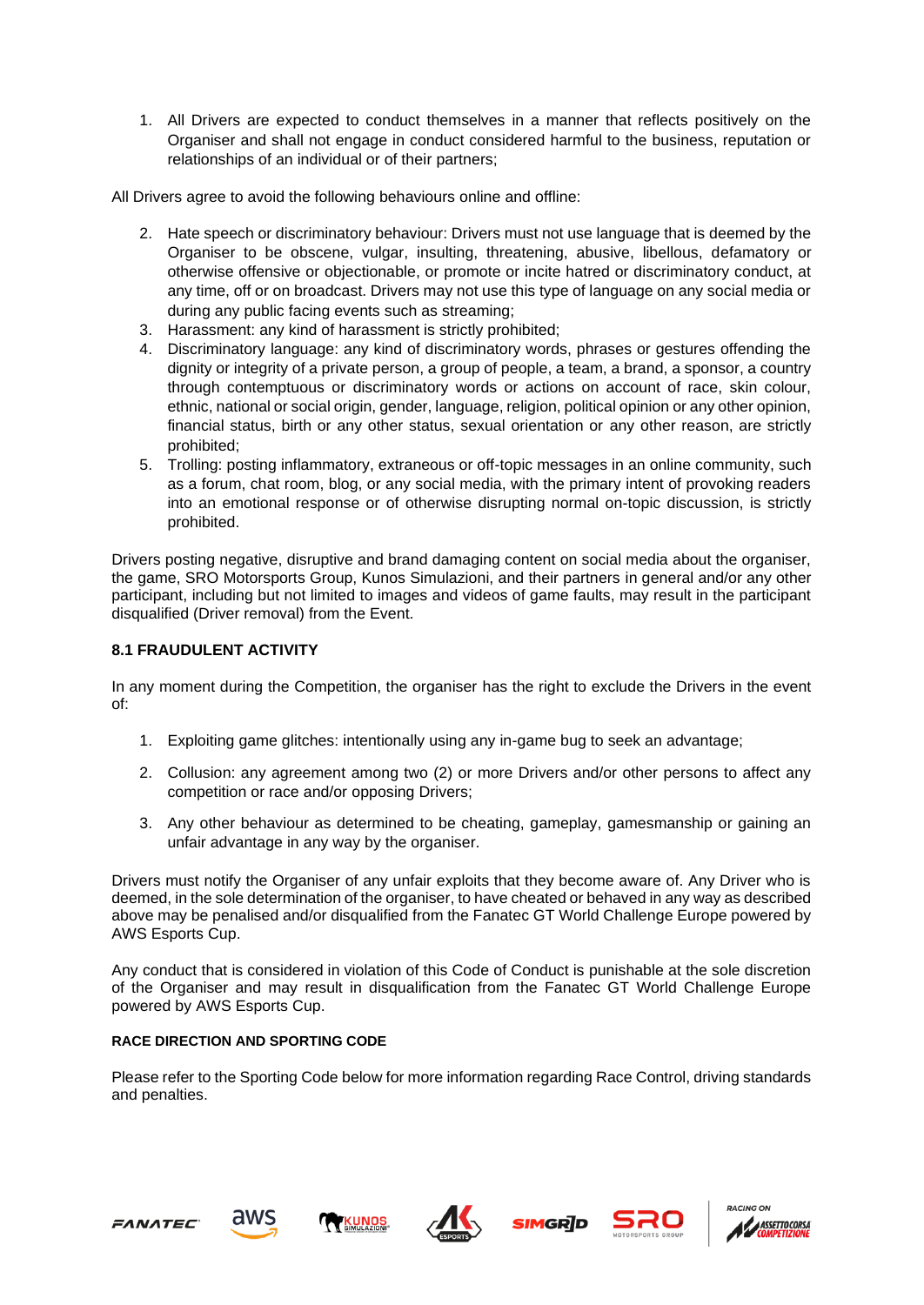1. All Drivers are expected to conduct themselves in a manner that reflects positively on the Organiser and shall not engage in conduct considered harmful to the business, reputation or relationships of an individual or of their partners;

All Drivers agree to avoid the following behaviours online and offline:

- 2. Hate speech or discriminatory behaviour: Drivers must not use language that is deemed by the Organiser to be obscene, vulgar, insulting, threatening, abusive, libellous, defamatory or otherwise offensive or objectionable, or promote or incite hatred or discriminatory conduct, at any time, off or on broadcast. Drivers may not use this type of language on any social media or during any public facing events such as streaming;
- 3. Harassment: any kind of harassment is strictly prohibited;
- 4. Discriminatory language: any kind of discriminatory words, phrases or gestures offending the dignity or integrity of a private person, a group of people, a team, a brand, a sponsor, a country through contemptuous or discriminatory words or actions on account of race, skin colour, ethnic, national or social origin, gender, language, religion, political opinion or any other opinion, financial status, birth or any other status, sexual orientation or any other reason, are strictly prohibited;
- 5. Trolling: posting inflammatory, extraneous or off-topic messages in an online community, such as a forum, chat room, blog, or any social media, with the primary intent of provoking readers into an emotional response or of otherwise disrupting normal on-topic discussion, is strictly prohibited.

Drivers posting negative, disruptive and brand damaging content on social media about the organiser, the game, SRO Motorsports Group, Kunos Simulazioni, and their partners in general and/or any other participant, including but not limited to images and videos of game faults, may result in the participant disqualified (Driver removal) from the Event.

#### **8.1 FRAUDULENT ACTIVITY**

In any moment during the Competition, the organiser has the right to exclude the Drivers in the event of:

- 1. Exploiting game glitches: intentionally using any in-game bug to seek an advantage;
- 2. Collusion: any agreement among two (2) or more Drivers and/or other persons to affect any competition or race and/or opposing Drivers;
- 3. Any other behaviour as determined to be cheating, gameplay, gamesmanship or gaining an unfair advantage in any way by the organiser.

Drivers must notify the Organiser of any unfair exploits that they become aware of. Any Driver who is deemed, in the sole determination of the organiser, to have cheated or behaved in any way as described above may be penalised and/or disqualified from the Fanatec GT World Challenge Europe powered by AWS Esports Cup.

Any conduct that is considered in violation of this Code of Conduct is punishable at the sole discretion of the Organiser and may result in disqualification from the Fanatec GT World Challenge Europe powered by AWS Esports Cup.

#### **RACE DIRECTION AND SPORTING CODE**

Please refer to the Sporting Code below for more information regarding Race Control, driving standards and penalties.









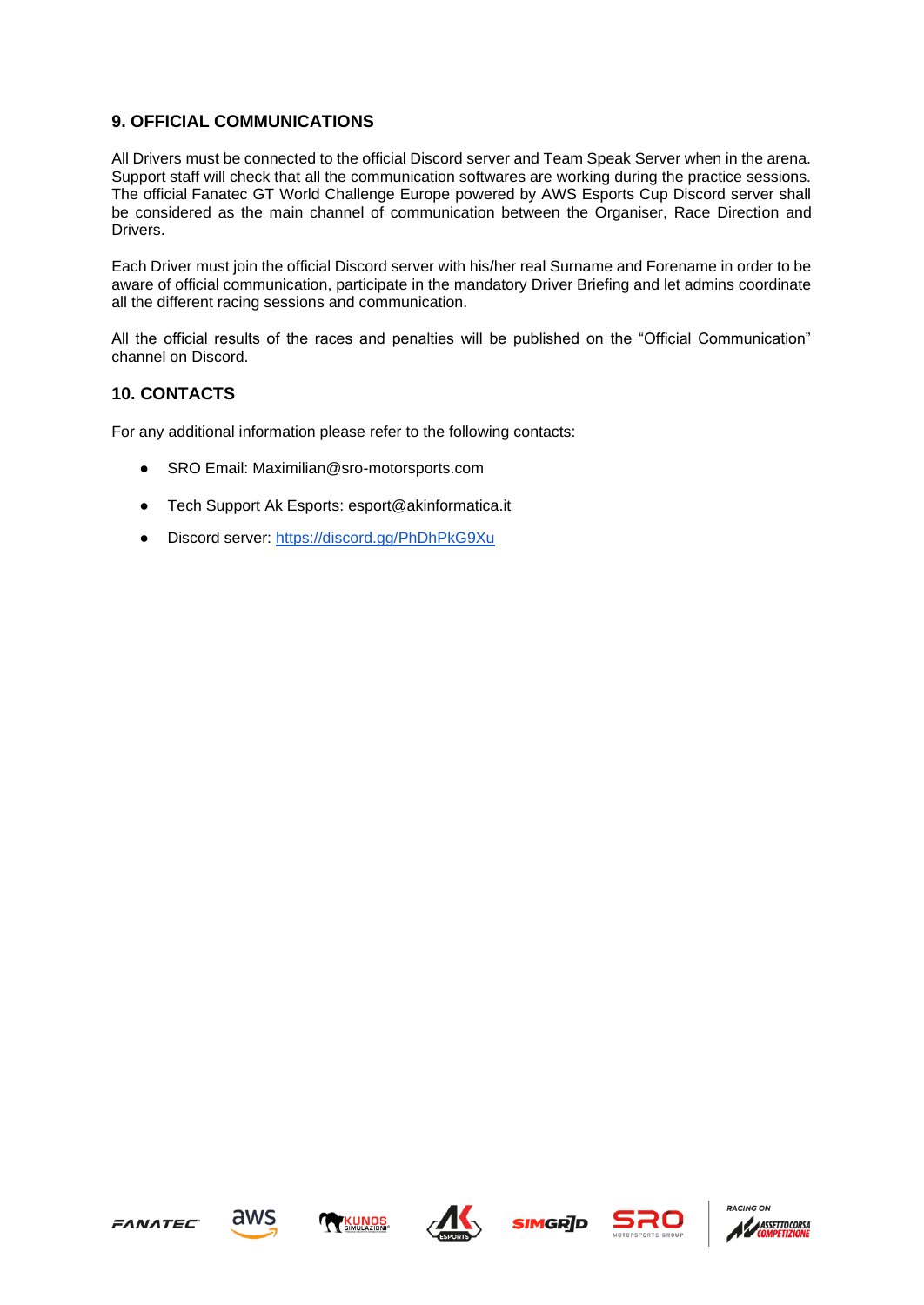# **9. OFFICIAL COMMUNICATIONS**

All Drivers must be connected to the official Discord server and Team Speak Server when in the arena. Support staff will check that all the communication softwares are working during the practice sessions. The official Fanatec GT World Challenge Europe powered by AWS Esports Cup Discord server shall be considered as the main channel of communication between the Organiser, Race Direction and Drivers.

Each Driver must join the official Discord server with his/her real Surname and Forename in order to be aware of official communication, participate in the mandatory Driver Briefing and let admins coordinate all the different racing sessions and communication.

All the official results of the races and penalties will be published on the "Official Communication" channel on Discord.

### **10. CONTACTS**

For any additional information please refer to the following contacts:

- SRO Email: Maximilian@sro-motorsports.com
- Tech Support Ak Esports: esport@akinformatica.it
- Discord server:<https://discord.gg/PhDhPkG9Xu>













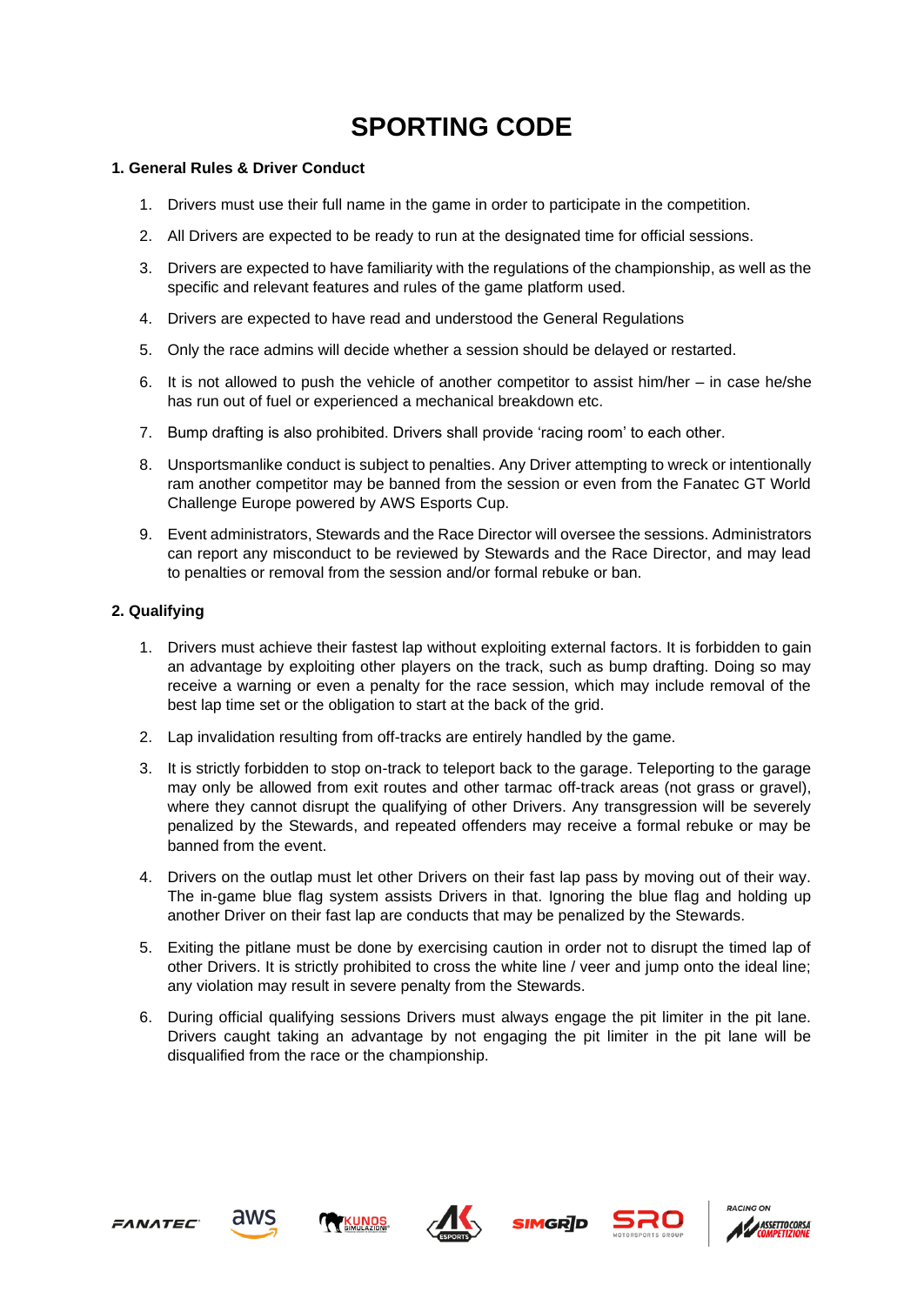# **SPORTING CODE**

#### **1. General Rules & Driver Conduct**

- 1. Drivers must use their full name in the game in order to participate in the competition.
- 2. All Drivers are expected to be ready to run at the designated time for official sessions.
- 3. Drivers are expected to have familiarity with the regulations of the championship, as well as the specific and relevant features and rules of the game platform used.
- 4. Drivers are expected to have read and understood the General Regulations
- 5. Only the race admins will decide whether a session should be delayed or restarted.
- 6. It is not allowed to push the vehicle of another competitor to assist him/her in case he/she has run out of fuel or experienced a mechanical breakdown etc.
- 7. Bump drafting is also prohibited. Drivers shall provide 'racing room' to each other.
- 8. Unsportsmanlike conduct is subject to penalties. Any Driver attempting to wreck or intentionally ram another competitor may be banned from the session or even from the Fanatec GT World Challenge Europe powered by AWS Esports Cup.
- 9. Event administrators, Stewards and the Race Director will oversee the sessions. Administrators can report any misconduct to be reviewed by Stewards and the Race Director, and may lead to penalties or removal from the session and/or formal rebuke or ban.

#### **2. Qualifying**

- 1. Drivers must achieve their fastest lap without exploiting external factors. It is forbidden to gain an advantage by exploiting other players on the track, such as bump drafting. Doing so may receive a warning or even a penalty for the race session, which may include removal of the best lap time set or the obligation to start at the back of the grid.
- 2. Lap invalidation resulting from off-tracks are entirely handled by the game.
- 3. It is strictly forbidden to stop on-track to teleport back to the garage. Teleporting to the garage may only be allowed from exit routes and other tarmac off-track areas (not grass or gravel), where they cannot disrupt the qualifying of other Drivers. Any transgression will be severely penalized by the Stewards, and repeated offenders may receive a formal rebuke or may be banned from the event.
- 4. Drivers on the outlap must let other Drivers on their fast lap pass by moving out of their way. The in-game blue flag system assists Drivers in that. Ignoring the blue flag and holding up another Driver on their fast lap are conducts that may be penalized by the Stewards.
- 5. Exiting the pitlane must be done by exercising caution in order not to disrupt the timed lap of other Drivers. It is strictly prohibited to cross the white line / veer and jump onto the ideal line; any violation may result in severe penalty from the Stewards.
- 6. During official qualifying sessions Drivers must always engage the pit limiter in the pit lane. Drivers caught taking an advantage by not engaging the pit limiter in the pit lane will be disqualified from the race or the championship.











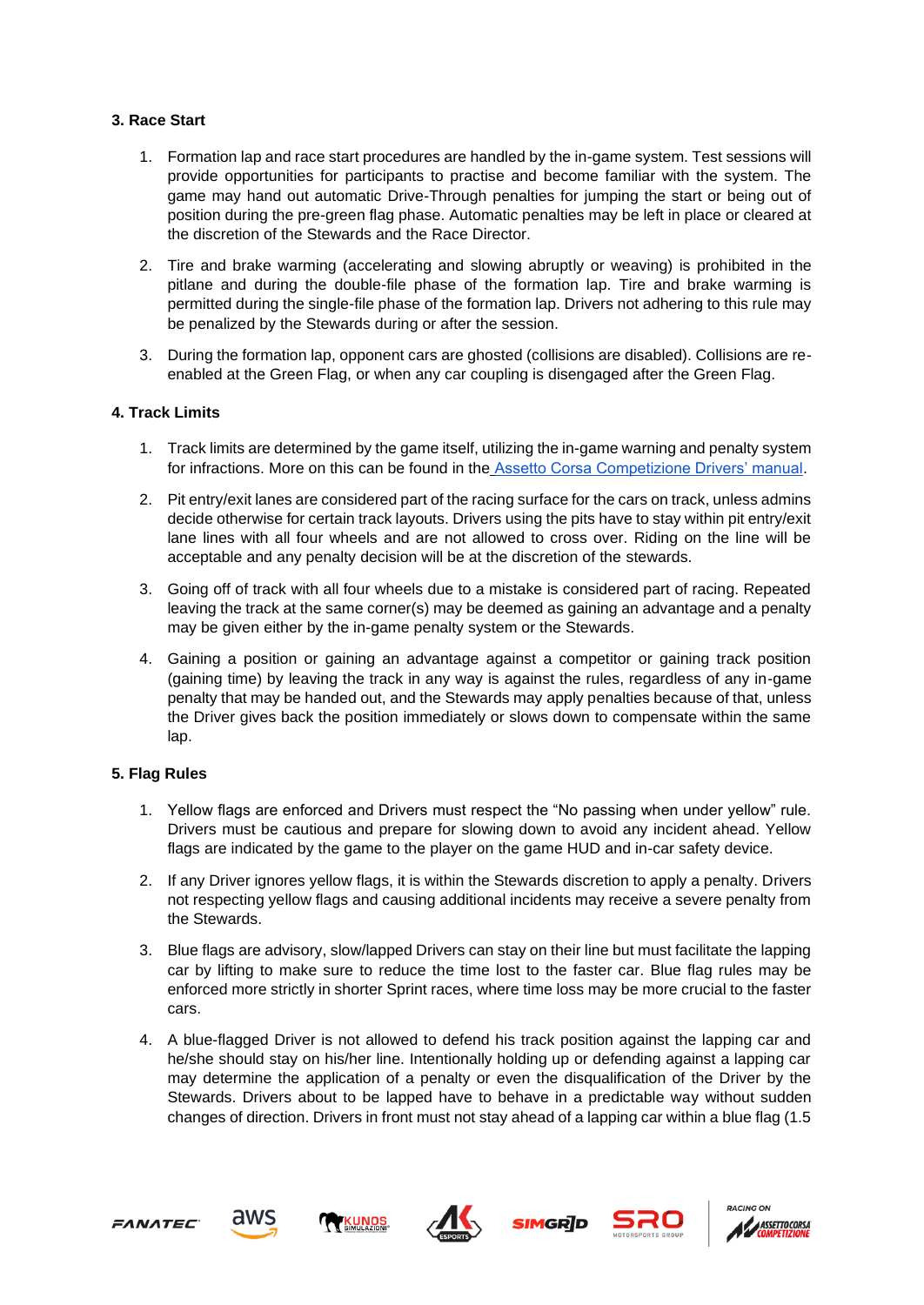#### **3. Race Start**

- 1. Formation lap and race start procedures are handled by the in-game system. Test sessions will provide opportunities for participants to practise and become familiar with the system. The game may hand out automatic Drive-Through penalties for jumping the start or being out of position during the pre-green flag phase. Automatic penalties may be left in place or cleared at the discretion of the Stewards and the Race Director.
- 2. Tire and brake warming (accelerating and slowing abruptly or weaving) is prohibited in the pitlane and during the double-file phase of the formation lap. Tire and brake warming is permitted during the single-file phase of the formation lap. Drivers not adhering to this rule may be penalized by the Stewards during or after the session.
- 3. During the formation lap, opponent cars are ghosted (collisions are disabled). Collisions are reenabled at the Green Flag, or when any car coupling is disengaged after the Green Flag.

#### **4. Track Limits**

- 1. Track limits are determined by the game itself, utilizing the in-game warning and penalty system for infractions. More on this can be found in th[e](https://docs.google.com/document/d/1xo52PFjuMrvILXtC-5R_9yS_9lGox6PS6JzA19Qjvz0/edit) [Assetto Corsa Competizione Drivers' manual.](https://docs.google.com/document/d/1xo52PFjuMrvILXtC-5R_9yS_9lGox6PS6JzA19Qjvz0/edit)
- 2. Pit entry/exit lanes are considered part of the racing surface for the cars on track, unless admins decide otherwise for certain track layouts. Drivers using the pits have to stay within pit entry/exit lane lines with all four wheels and are not allowed to cross over. Riding on the line will be acceptable and any penalty decision will be at the discretion of the stewards.
- 3. Going off of track with all four wheels due to a mistake is considered part of racing. Repeated leaving the track at the same corner(s) may be deemed as gaining an advantage and a penalty may be given either by the in-game penalty system or the Stewards.
- 4. Gaining a position or gaining an advantage against a competitor or gaining track position (gaining time) by leaving the track in any way is against the rules, regardless of any in-game penalty that may be handed out, and the Stewards may apply penalties because of that, unless the Driver gives back the position immediately or slows down to compensate within the same lap.

#### **5. Flag Rules**

- 1. Yellow flags are enforced and Drivers must respect the "No passing when under yellow" rule. Drivers must be cautious and prepare for slowing down to avoid any incident ahead. Yellow flags are indicated by the game to the player on the game HUD and in-car safety device.
- 2. If any Driver ignores yellow flags, it is within the Stewards discretion to apply a penalty. Drivers not respecting yellow flags and causing additional incidents may receive a severe penalty from the Stewards.
- 3. Blue flags are advisory, slow/lapped Drivers can stay on their line but must facilitate the lapping car by lifting to make sure to reduce the time lost to the faster car. Blue flag rules may be enforced more strictly in shorter Sprint races, where time loss may be more crucial to the faster cars.
- 4. A blue-flagged Driver is not allowed to defend his track position against the lapping car and he/she should stay on his/her line. Intentionally holding up or defending against a lapping car may determine the application of a penalty or even the disqualification of the Driver by the Stewards. Drivers about to be lapped have to behave in a predictable way without sudden changes of direction. Drivers in front must not stay ahead of a lapping car within a blue flag (1.5









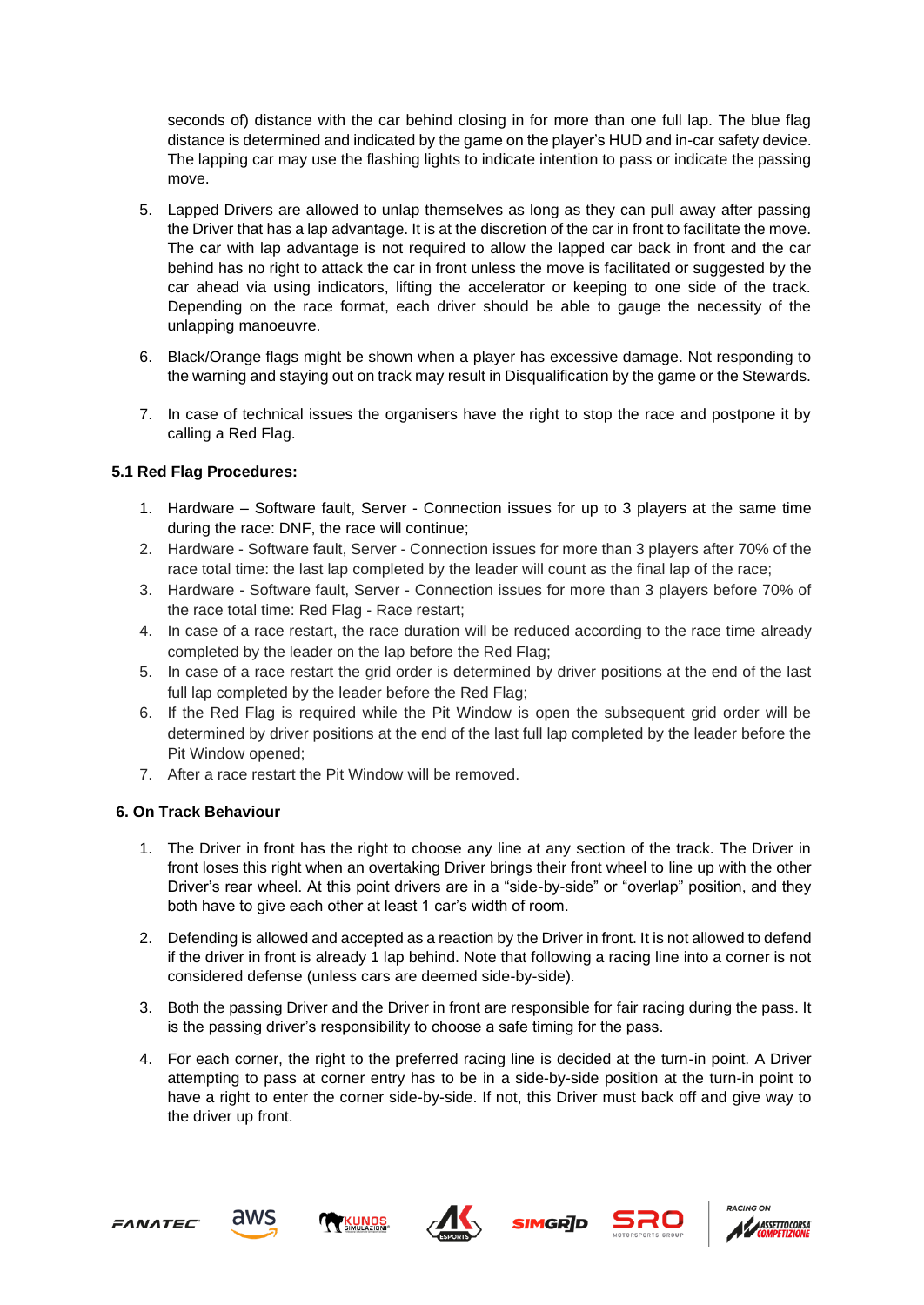seconds of) distance with the car behind closing in for more than one full lap. The blue flag distance is determined and indicated by the game on the player's HUD and in-car safety device. The lapping car may use the flashing lights to indicate intention to pass or indicate the passing move.

- 5. Lapped Drivers are allowed to unlap themselves as long as they can pull away after passing the Driver that has a lap advantage. It is at the discretion of the car in front to facilitate the move. The car with lap advantage is not required to allow the lapped car back in front and the car behind has no right to attack the car in front unless the move is facilitated or suggested by the car ahead via using indicators, lifting the accelerator or keeping to one side of the track. Depending on the race format, each driver should be able to gauge the necessity of the unlapping manoeuvre.
- 6. Black/Orange flags might be shown when a player has excessive damage. Not responding to the warning and staying out on track may result in Disqualification by the game or the Stewards.
- 7. In case of technical issues the organisers have the right to stop the race and postpone it by calling a Red Flag.

### **5.1 Red Flag Procedures:**

- 1. Hardware Software fault, Server Connection issues for up to 3 players at the same time during the race: DNF, the race will continue;
- 2. Hardware Software fault, Server Connection issues for more than 3 players after 70% of the race total time: the last lap completed by the leader will count as the final lap of the race;
- 3. Hardware Software fault, Server Connection issues for more than 3 players before 70% of the race total time: Red Flag - Race restart;
- 4. In case of a race restart, the race duration will be reduced according to the race time already completed by the leader on the lap before the Red Flag;
- 5. In case of a race restart the grid order is determined by driver positions at the end of the last full lap completed by the leader before the Red Flag;
- 6. If the Red Flag is required while the Pit Window is open the subsequent grid order will be determined by driver positions at the end of the last full lap completed by the leader before the Pit Window opened;
- 7. After a race restart the Pit Window will be removed.

#### **6. On Track Behaviour**

- 1. The Driver in front has the right to choose any line at any section of the track. The Driver in front loses this right when an overtaking Driver brings their front wheel to line up with the other Driver's rear wheel. At this point drivers are in a "side-by-side" or "overlap" position, and they both have to give each other at least 1 car's width of room.
- 2. Defending is allowed and accepted as a reaction by the Driver in front. It is not allowed to defend if the driver in front is already 1 lap behind. Note that following a racing line into a corner is not considered defense (unless cars are deemed side-by-side).
- 3. Both the passing Driver and the Driver in front are responsible for fair racing during the pass. It is the passing driver's responsibility to choose a safe timing for the pass.
- 4. For each corner, the right to the preferred racing line is decided at the turn-in point. A Driver attempting to pass at corner entry has to be in a side-by-side position at the turn-in point to have a right to enter the corner side-by-side. If not, this Driver must back off and give way to the driver up front.











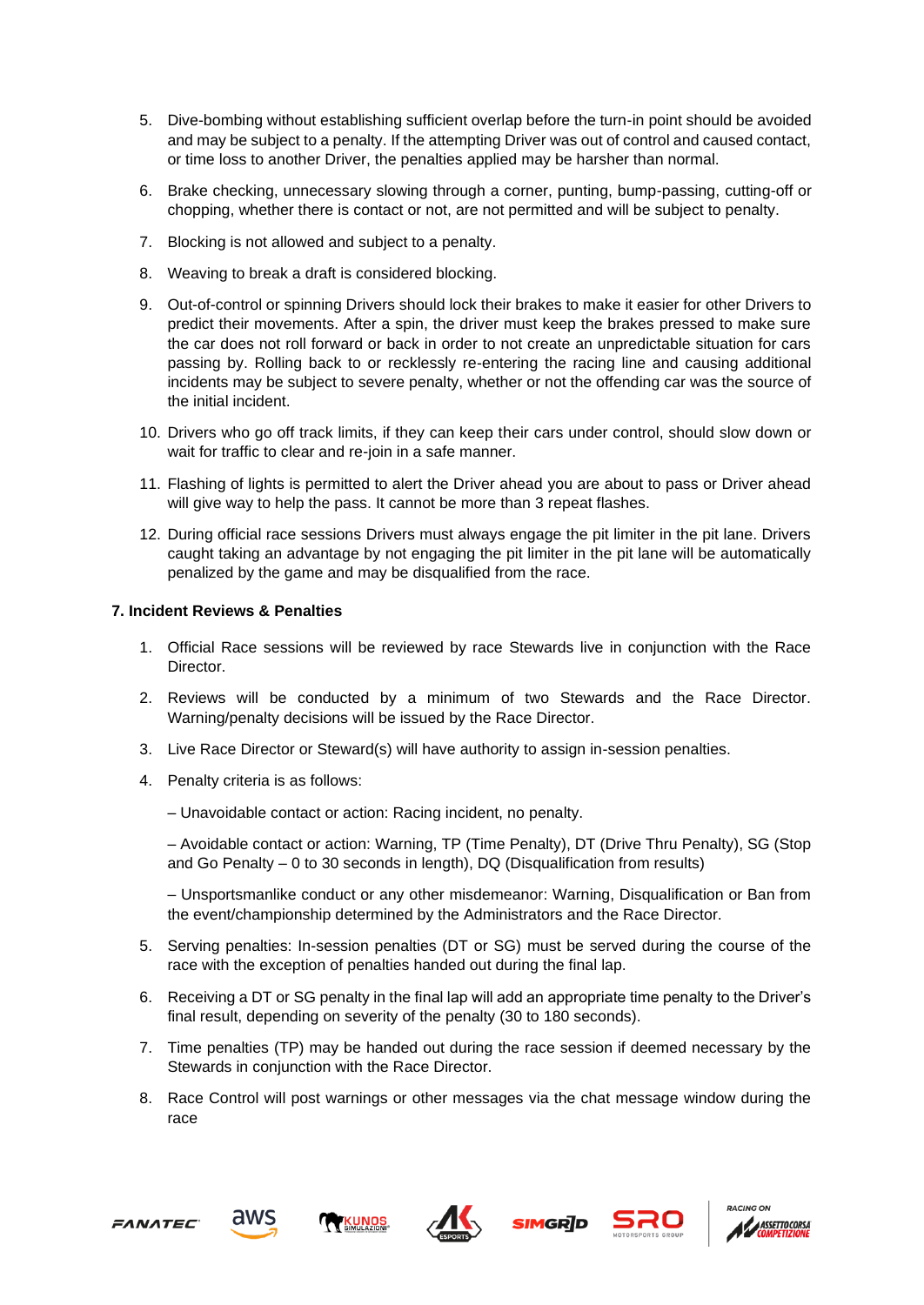- 5. Dive-bombing without establishing sufficient overlap before the turn-in point should be avoided and may be subject to a penalty. If the attempting Driver was out of control and caused contact, or time loss to another Driver, the penalties applied may be harsher than normal.
- 6. Brake checking, unnecessary slowing through a corner, punting, bump-passing, cutting-off or chopping, whether there is contact or not, are not permitted and will be subject to penalty.
- 7. Blocking is not allowed and subject to a penalty.
- 8. Weaving to break a draft is considered blocking.
- 9. Out-of-control or spinning Drivers should lock their brakes to make it easier for other Drivers to predict their movements. After a spin, the driver must keep the brakes pressed to make sure the car does not roll forward or back in order to not create an unpredictable situation for cars passing by. Rolling back to or recklessly re-entering the racing line and causing additional incidents may be subject to severe penalty, whether or not the offending car was the source of the initial incident.
- 10. Drivers who go off track limits, if they can keep their cars under control, should slow down or wait for traffic to clear and re-join in a safe manner.
- 11. Flashing of lights is permitted to alert the Driver ahead you are about to pass or Driver ahead will give way to help the pass. It cannot be more than 3 repeat flashes.
- 12. During official race sessions Drivers must always engage the pit limiter in the pit lane. Drivers caught taking an advantage by not engaging the pit limiter in the pit lane will be automatically penalized by the game and may be disqualified from the race.

#### **7. Incident Reviews & Penalties**

- 1. Official Race sessions will be reviewed by race Stewards live in conjunction with the Race Director.
- 2. Reviews will be conducted by a minimum of two Stewards and the Race Director. Warning/penalty decisions will be issued by the Race Director.
- 3. Live Race Director or Steward(s) will have authority to assign in-session penalties.
- 4. Penalty criteria is as follows:
	- Unavoidable contact or action: Racing incident, no penalty.

– Avoidable contact or action: Warning, TP (Time Penalty), DT (Drive Thru Penalty), SG (Stop and Go Penalty – 0 to 30 seconds in length), DQ (Disqualification from results)

– Unsportsmanlike conduct or any other misdemeanor: Warning, Disqualification or Ban from the event/championship determined by the Administrators and the Race Director.

- 5. Serving penalties: In-session penalties (DT or SG) must be served during the course of the race with the exception of penalties handed out during the final lap.
- 6. Receiving a DT or SG penalty in the final lap will add an appropriate time penalty to the Driver's final result, depending on severity of the penalty (30 to 180 seconds).
- 7. Time penalties (TP) may be handed out during the race session if deemed necessary by the Stewards in conjunction with the Race Director.
- 8. Race Control will post warnings or other messages via the chat message window during the race